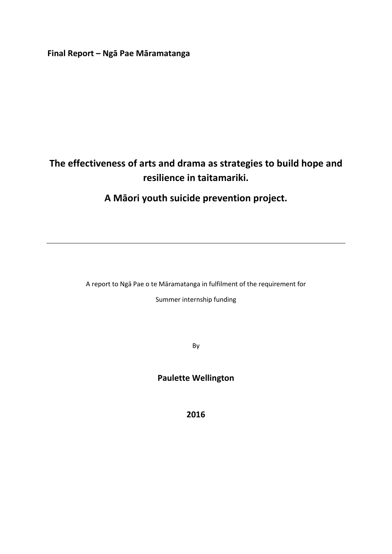**Final Report – Ngā Pae Māramatanga**

# **The effectiveness of arts and drama as strategies to build hope and resilience in taitamariki.**

## **A Māori youth suicide prevention project.**

A report to Ngā Pae o te Māramatanga in fulfilment of the requirement for Summer internship funding

By

## **Paulette Wellington**

**2016**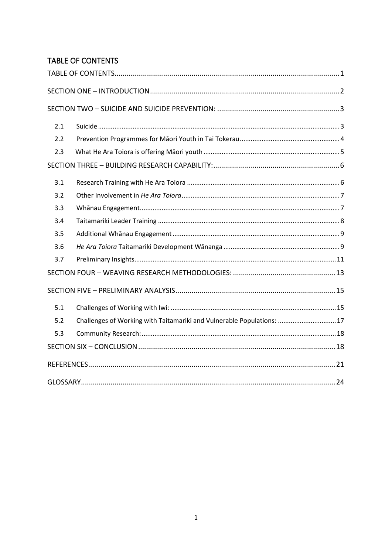## <span id="page-1-0"></span>TABLE OF CONTENTS

| 2.1 |                                                                       |  |
|-----|-----------------------------------------------------------------------|--|
| 2.2 |                                                                       |  |
| 2.3 |                                                                       |  |
|     |                                                                       |  |
| 3.1 |                                                                       |  |
| 3.2 |                                                                       |  |
| 3.3 |                                                                       |  |
| 3.4 |                                                                       |  |
| 3.5 |                                                                       |  |
| 3.6 |                                                                       |  |
| 3.7 |                                                                       |  |
|     |                                                                       |  |
|     |                                                                       |  |
| 5.1 |                                                                       |  |
| 5.2 | Challenges of Working with Taitamariki and Vulnerable Populations: 17 |  |
| 5.3 |                                                                       |  |
|     |                                                                       |  |
|     |                                                                       |  |
|     |                                                                       |  |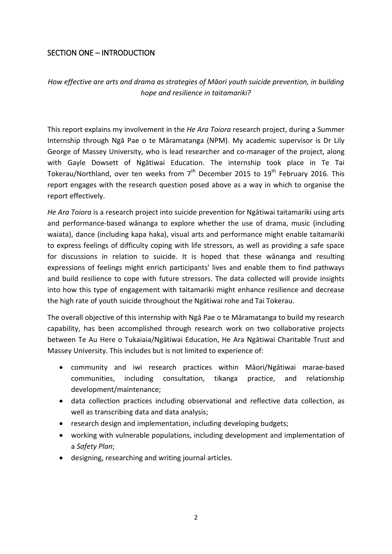## <span id="page-2-0"></span>SECTION ONE – INTRODUCTION

*How effective are arts and drama as strategies of Māori youth suicide prevention, in building hope and resilience in taitamariki?*

This report explains my involvement in the *He Ara Toiora* research project, during a Summer Internship through Ngā Pae o te Māramatanga (NPM). My academic supervisor is Dr Lily George of Massey University, who is lead researcher and co-manager of the project, along with Gayle Dowsett of Ngātiwai Education. The internship took place in Te Tai Tokerau/Northland, over ten weeks from  $7<sup>th</sup>$  December 2015 to 19<sup>th</sup> February 2016. This report engages with the research question posed above as a way in which to organise the report effectively.

*He Ara Toiora* is a research project into suicide prevention for Ngātiwai taitamariki using arts and performance-based wānanga to explore whether the use of drama, music (including waiata), dance (including kapa haka), visual arts and performance might enable taitamariki to express feelings of difficulty coping with life stressors, as well as providing a safe space for discussions in relation to suicide. It is hoped that these wānanga and resulting expressions of feelings might enrich participants' lives and enable them to find pathways and build resilience to cope with future stressors. The data collected will provide insights into how this type of engagement with taitamariki might enhance resilience and decrease the high rate of youth suicide throughout the Ngātiwai rohe and Tai Tokerau.

The overall objective of this internship with Ngā Pae o te Māramatanga to build my research capability, has been accomplished through research work on two collaborative projects between Te Au Here o Tukaiaia/Ngātiwai Education, He Ara Ngātiwai Charitable Trust and Massey University. This includes but is not limited to experience of:

- community and iwi research practices within Māori/Ngātiwai marae-based communities, including consultation, tikanga practice, and relationship development/maintenance;
- data collection practices including observational and reflective data collection, as well as transcribing data and data analysis;
- research design and implementation, including developing budgets;
- working with vulnerable populations, including development and implementation of a *Safety Plan*;
- designing, researching and writing journal articles.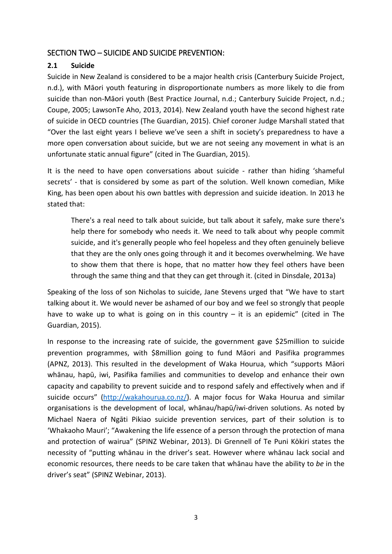## <span id="page-3-0"></span>SECTION TWO – SUICIDE AND SUICIDE PREVENTION:

## <span id="page-3-1"></span>**2.1 Suicide**

Suicide in New Zealand is considered to be a major health crisis (Canterbury Suicide Project, n.d.), with Māori youth featuring in disproportionate numbers as more likely to die from suicide than non-Māori youth (Best Practice Journal, n.d.; Canterbury Suicide Project, n.d.; Coupe, 2005; LawsonTe Aho, 2013, 2014). New Zealand youth have the second highest rate of suicide in OECD countries (The Guardian, 2015). Chief coroner Judge Marshall stated that "Over the last eight years I believe we've seen a shift in society's preparedness to have a more open conversation about suicide, but we are not seeing any movement in what is an unfortunate static annual figure" (cited in The Guardian, 2015).

It is the need to have open conversations about suicide - rather than hiding 'shameful secrets' - that is considered by some as part of the solution. Well known comedian, Mike King, has been open about his own battles with depression and suicide ideation. In 2013 he stated that:

There's a real need to talk about suicide, but talk about it safely, make sure there's help there for somebody who needs it. We need to talk about why people commit suicide, and it's generally people who feel hopeless and they often genuinely believe that they are the only ones going through it and it becomes overwhelming. We have to show them that there is hope, that no matter how they feel others have been through the same thing and that they can get through it. (cited in Dinsdale, 2013a)

Speaking of the loss of son Nicholas to suicide, Jane Stevens urged that "We have to start talking about it. We would never be ashamed of our boy and we feel so strongly that people have to wake up to what is going on in this country  $-$  it is an epidemic" (cited in The Guardian, 2015).

In response to the increasing rate of suicide, the government gave \$25million to suicide prevention programmes, with \$8million going to fund Māori and Pasifika programmes (APNZ, 2013). This resulted in the development of Waka Hourua, which "supports Māori whānau, hapū, iwi, Pasifika families and communities to develop and enhance their own capacity and capability to prevent suicide and to respond safely and effectively when and if suicide occurs" [\(http://wakahourua.co.nz/\)](http://wakahourua.co.nz/). A major focus for Waka Hourua and similar organisations is the development of local, whānau/hapū/iwi-driven solutions. As noted by Michael Naera of Ngāti Pikiao suicide prevention services, part of their solution is to 'Whakaoho Mauri'; "Awakening the life essence of a person through the protection of mana and protection of wairua" (SPINZ Webinar, 2013). Di Grennell of Te Puni Kōkiri states the necessity of "putting whānau in the driver's seat. However where whānau lack social and economic resources, there needs to be care taken that whānau have the ability to *be* in the driver's seat" (SPINZ Webinar, 2013).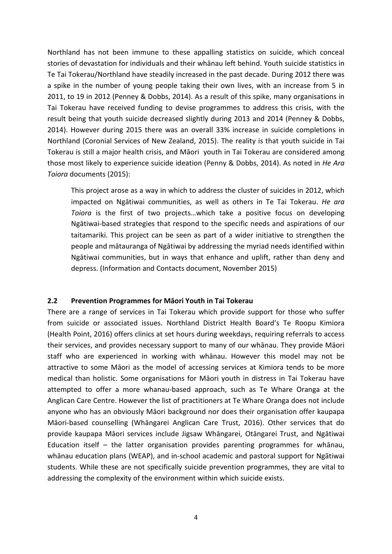Northland has not been immune to these appalling statistics on suicide, which conceal stories of devastation for individuals and their whānau left behind. Youth suicide statistics in Te Tai Tokerau/Northland have steadily increased in the past decade. During 2012 there was a spike in the number of young people taking their own lives, with an increase from 5 in 2011, to 19 in 2012 (Penney & Dobbs, 2014). As a result of this spike, many organisations in Tai Tokerau have received funding to devise programmes to address this crisis, with the result being that youth suicide decreased slightly during 2013 and 2014 (Penney & Dobbs, 2014). However during 2015 there was an overall 33% increase in suicide completions in Northland (Coronial Services of New Zealand, 2015). The reality is that youth suicide in Tai Tokerau is still a major health crisis, and Māori youth in Tai Tokerau are considered among those most likely to experience suicide ideation (Penny & Dobbs, 2014). As noted in *He Ara Toiora* documents (2015):

This project arose as a way in which to address the cluster of suicides in 2012, which impacted on Ngātiwai communities, as well as others in Te Tai Tokerau. *He ara Toiora* is the first of two projects…which take a positive focus on developing Ngātiwai-based strategies that respond to the specific needs and aspirations of our taitamariki. This project can be seen as part of a wider initiative to strengthen the people and mātauranga of Ngātiwai by addressing the myriad needs identified within Ngātiwai communities, but in ways that enhance and uplift, rather than deny and depress. (Information and Contacts document, November 2015)

#### <span id="page-4-0"></span>**2.2 Prevention Programmes for Māori Youth in Tai Tokerau**

There are a range of services in Tai Tokerau which provide support for those who suffer from suicide or associated issues. Northland District Health Board's Te Roopu Kimiora (Health Point, 2016) offers clinics at set hours during weekdays, requiring referrals to access their services, and provides necessary support to many of our whānau. They provide Māori staff who are experienced in working with whānau. However this model may not be attractive to some Māori as the model of accessing services at Kimiora tends to be more medical than holistic. Some organisations for Māori youth in distress in Tai Tokerau have attempted to offer a more whanau-based approach, such as Te Whare Oranga at the Anglican Care Centre. However the list of practitioners at Te Whare Oranga does not include anyone who has an obviously Māori background nor does their organisation offer kaupapa Māori-based counselling (Whāngarei Anglican Care Trust, 2016). Other services that do provide kaupapa Māori services include Jigsaw Whāngarei, Otāngarei Trust, and Ngātiwai Education itself – the latter organisation provides parenting programmes for whānau, whānau education plans (WEAP), and in-school academic and pastoral support for Ngātiwai students. While these are not specifically suicide prevention programmes, they are vital to addressing the complexity of the environment within which suicide exists.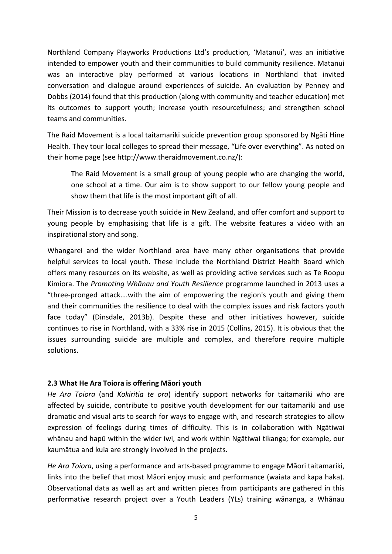Northland Company Playworks Productions Ltd's production, 'Matanui', was an initiative intended to empower youth and their communities to build community resilience. Matanui was an interactive play performed at various locations in Northland that invited conversation and dialogue around experiences of suicide. An evaluation by Penney and Dobbs (2014) found that this production (along with community and teacher education) met its outcomes to support youth; increase youth resourcefulness; and strengthen school teams and communities.

The Raid Movement is a local taitamariki suicide prevention group sponsored by Ngāti Hine Health. They tour local colleges to spread their message, "Life over everything". As noted on their home page (see http://www.theraidmovement.co.nz/):

The Raid Movement is a small group of young people who are changing the world, one school at a time. Our aim is to show support to our fellow young people and show them that life is the most important gift of all.

Their Mission is to decrease youth suicide in New Zealand, and offer comfort and support to young people by emphasising that life is a gift. The website features a video with an inspirational story and song.

Whangarei and the wider Northland area have many other organisations that provide helpful services to local youth. These include the Northland District Health Board which offers many resources on its website, as well as providing active services such as Te Roopu Kimiora. The *Promoting Whānau and Youth Resilience* programme launched in 2013 uses a "three-pronged attack….with the aim of empowering the region's youth and giving them and their communities the resilience to deal with the complex issues and risk factors youth face today" (Dinsdale, 2013b). Despite these and other initiatives however, suicide continues to rise in Northland, with a 33% rise in 2015 (Collins, 2015). It is obvious that the issues surrounding suicide are multiple and complex, and therefore require multiple solutions.

## <span id="page-5-0"></span>**2.3 What He Ara Toiora is offering Māori youth**

*He Ara Toiora* (and *Kokiritia te ora*) identify support networks for taitamariki who are affected by suicide, contribute to positive youth development for our taitamariki and use dramatic and visual arts to search for ways to engage with, and research strategies to allow expression of feelings during times of difficulty. This is in collaboration with Ngātiwai whānau and hapū within the wider iwi, and work within Ngātiwai tikanga; for example, our kaumātua and kuia are strongly involved in the projects.

*He Ara Toiora*, using a performance and arts-based programme to engage Māori taitamariki, links into the belief that most Māori enjoy music and performance (waiata and kapa haka). Observational data as well as art and written pieces from participants are gathered in this performative research project over a Youth Leaders (YLs) training wānanga, a Whānau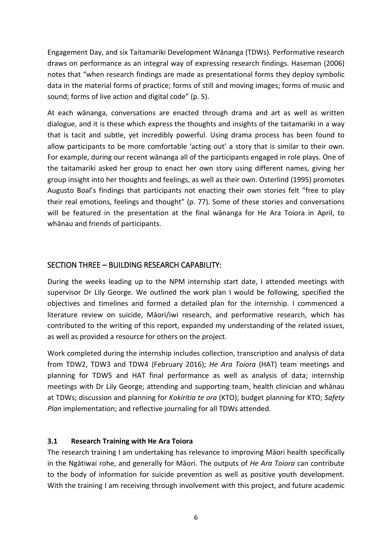Engagement Day, and six Taitamariki Development Wānanga (TDWs). Performative research draws on performance as an integral way of expressing research findings. Haseman (2006) notes that "when research findings are made as presentational forms they deploy symbolic data in the material forms of practice; forms of still and moving images; forms of music and sound; forms of live action and digital code" (p. 5).

At each wānanga, conversations are enacted through drama and art as well as written dialogue, and it is these which express the thoughts and insights of the taitamariki in a way that is tacit and subtle, yet incredibly powerful. Using drama process has been found to allow participants to be more comfortable 'acting out' a story that is similar to their own. For example, during our recent wānanga all of the participants engaged in role plays. One of the taitamariki asked her group to enact her own story using different names, giving her group insight into her thoughts and feelings, as well as their own. Osterlind (1995) promotes Augusto Boal's findings that participants not enacting their own stories felt "free to play their real emotions, feelings and thought" (p. 77). Some of these stories and conversations will be featured in the presentation at the final wānanga for He Ara Toiora in April, to whānau and friends of participants.

## <span id="page-6-0"></span>SECTION THREE – BUILDING RESEARCH CAPABILITY:

During the weeks leading up to the NPM internship start date, I attended meetings with supervisor Dr Lily George. We outlined the work plan I would be following, specified the objectives and timelines and formed a detailed plan for the internship. I commenced a literature review on suicide, Māori/iwi research, and performative research, which has contributed to the writing of this report, expanded my understanding of the related issues, as well as provided a resource for others on the project.

Work completed during the internship includes collection, transcription and analysis of data from TDW2, TDW3 and TDW4 (February 2016); *He Ara Toiora* (HAT) team meetings and planning for TDW5 and HAT final performance as well as analysis of data; internship meetings with Dr Lily George; attending and supporting team, health clinician and whānau at TDWs; discussion and planning for *Kokiritia te ora* (KTO); budget planning for KTO; *Safety Plan* implementation; and reflective journaling for all TDWs attended.

## <span id="page-6-1"></span>**3.1 Research Training with He Ara Toiora**

The research training I am undertaking has relevance to improving Māori health specifically in the Ngātiwai rohe, and generally for Māori. The outputs of *He Ara Toiora* can contribute to the body of information for suicide prevention as well as positive youth development. With the training I am receiving through involvement with this project, and future academic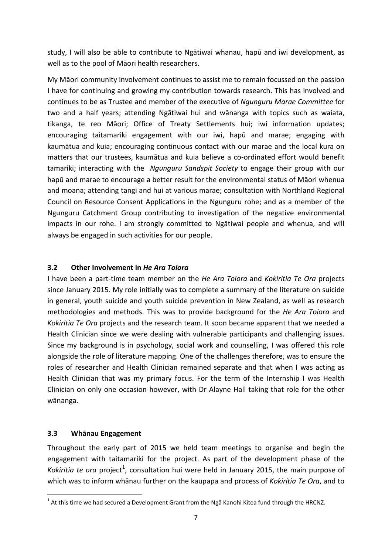study, I will also be able to contribute to Ngātiwai whanau, hapū and iwi development, as well as to the pool of Māori health researchers.

My Māori community involvement continues to assist me to remain focussed on the passion I have for continuing and growing my contribution towards research. This has involved and continues to be as Trustee and member of the executive of *Ngunguru Marae Committee* for two and a half years; attending Ngātiwai hui and wānanga with topics such as waiata, tikanga, te reo Māori; Office of Treaty Settlements hui; iwi information updates; encouraging taitamariki engagement with our iwi, hapū and marae; engaging with kaumātua and kuia; encouraging continuous contact with our marae and the local kura on matters that our trustees, kaumātua and kuia believe a co-ordinated effort would benefit tamariki; interacting with the *Ngunguru Sandspit Society* to engage their group with our hapū and marae to encourage a better result for the environmental status of Māori whenua and moana; attending tangi and hui at various marae; consultation with Northland Regional Council on Resource Consent Applications in the Ngunguru rohe; and as a member of the Ngunguru Catchment Group contributing to investigation of the negative environmental impacts in our rohe. I am strongly committed to Ngātiwai people and whenua, and will always be engaged in such activities for our people.

## <span id="page-7-0"></span>**3.2 Other Involvement in** *He Ara Toiora*

I have been a part-time team member on the *He Ara Toiora* and *Kokiritia Te Ora* projects since January 2015. My role initially was to complete a summary of the literature on suicide in general, youth suicide and youth suicide prevention in New Zealand, as well as research methodologies and methods. This was to provide background for the *He Ara Toiora* and *Kokiritia Te Ora* projects and the research team. It soon became apparent that we needed a Health Clinician since we were dealing with vulnerable participants and challenging issues. Since my background is in psychology, social work and counselling, I was offered this role alongside the role of literature mapping. One of the challenges therefore, was to ensure the roles of researcher and Health Clinician remained separate and that when I was acting as Health Clinician that was my primary focus. For the term of the Internship I was Health Clinician on only one occasion however, with Dr Alayne Hall taking that role for the other wānanga.

## <span id="page-7-1"></span>**3.3 Whānau Engagement**

Throughout the early part of 2015 we held team meetings to organise and begin the engagement with taitamariki for the project. As part of the development phase of the Kokiritia te ora project<sup>[1](#page-7-2)</sup>, consultation hui were held in January 2015, the main purpose of which was to inform whānau further on the kaupapa and process of *Kokiritia Te Ora*, and to

<span id="page-7-2"></span> $1$  At this time we had secured a Development Grant from the Nga Kanohi Kitea fund through the HRCNZ.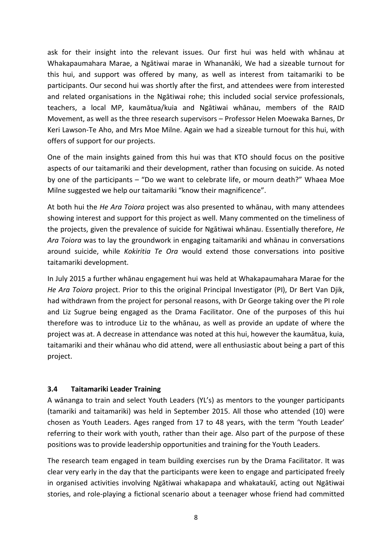ask for their insight into the relevant issues. Our first hui was held with whānau at Whakapaumahara Marae, a Ngātiwai marae in Whananāki, We had a sizeable turnout for this hui, and support was offered by many, as well as interest from taitamariki to be participants. Our second hui was shortly after the first, and attendees were from interested and related organisations in the Ngātiwai rohe; this included social service professionals, teachers, a local MP, kaumātua/kuia and Ngātiwai whānau, members of the RAID Movement, as well as the three research supervisors – Professor Helen Moewaka Barnes, Dr Keri Lawson-Te Aho, and Mrs Moe Milne. Again we had a sizeable turnout for this hui, with offers of support for our projects.

One of the main insights gained from this hui was that KTO should focus on the positive aspects of our taitamariki and their development, rather than focusing on suicide. As noted by one of the participants – "Do we want to celebrate life, or mourn death?" Whaea Moe Milne suggested we help our taitamariki "know their magnificence".

At both hui the *He Ara Toiora* project was also presented to whānau, with many attendees showing interest and support for this project as well. Many commented on the timeliness of the projects, given the prevalence of suicide for Ngātiwai whānau. Essentially therefore, *He Ara Toiora* was to lay the groundwork in engaging taitamariki and whānau in conversations around suicide, while *Kokiritia Te Ora* would extend those conversations into positive taitamariki development.

In July 2015 a further whānau engagement hui was held at Whakapaumahara Marae for the *He Ara Toiora* project. Prior to this the original Principal Investigator (PI), Dr Bert Van Djik, had withdrawn from the project for personal reasons, with Dr George taking over the PI role and Liz Sugrue being engaged as the Drama Facilitator. One of the purposes of this hui therefore was to introduce Liz to the whānau, as well as provide an update of where the project was at. A decrease in attendance was noted at this hui, however the kaumātua, kuia, taitamariki and their whānau who did attend, were all enthusiastic about being a part of this project.

## <span id="page-8-0"></span>**3.4 Taitamariki Leader Training**

A wānanga to train and select Youth Leaders (YL's) as mentors to the younger participants (tamariki and taitamariki) was held in September 2015. All those who attended (10) were chosen as Youth Leaders. Ages ranged from 17 to 48 years, with the term 'Youth Leader' referring to their work with youth, rather than their age. Also part of the purpose of these positions was to provide leadership opportunities and training for the Youth Leaders.

The research team engaged in team building exercises run by the Drama Facilitator. It was clear very early in the day that the participants were keen to engage and participated freely in organised activities involving Ngātiwai whakapapa and whakataukī, acting out Ngātiwai stories, and role-playing a fictional scenario about a teenager whose friend had committed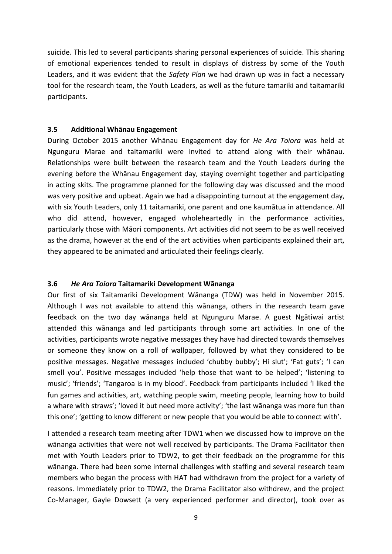suicide. This led to several participants sharing personal experiences of suicide. This sharing of emotional experiences tended to result in displays of distress by some of the Youth Leaders, and it was evident that the *Safety Plan* we had drawn up was in fact a necessary tool for the research team, the Youth Leaders, as well as the future tamariki and taitamariki participants.

#### <span id="page-9-0"></span>**3.5 Additional Whānau Engagement**

During October 2015 another Whānau Engagement day for *He Ara Toiora* was held at Ngunguru Marae and taitamariki were invited to attend along with their whānau. Relationships were built between the research team and the Youth Leaders during the evening before the Whānau Engagement day, staying overnight together and participating in acting skits. The programme planned for the following day was discussed and the mood was very positive and upbeat. Again we had a disappointing turnout at the engagement day, with six Youth Leaders, only 11 taitamariki, one parent and one kaumātua in attendance. All who did attend, however, engaged wholeheartedly in the performance activities, particularly those with Māori components. Art activities did not seem to be as well received as the drama, however at the end of the art activities when participants explained their art, they appeared to be animated and articulated their feelings clearly.

#### <span id="page-9-1"></span>**3.6** *He Ara Toiora* **Taitamariki Development Wānanga**

Our first of six Taitamariki Development Wānanga (TDW) was held in November 2015. Although I was not available to attend this wānanga, others in the research team gave feedback on the two day wānanga held at Ngunguru Marae. A guest Ngātiwai artist attended this wānanga and led participants through some art activities. In one of the activities, participants wrote negative messages they have had directed towards themselves or someone they know on a roll of wallpaper, followed by what they considered to be positive messages. Negative messages included 'chubby bubby'; Hi slut'; 'Fat guts'; 'I can smell you'. Positive messages included 'help those that want to be helped'; 'listening to music'; 'friends'; 'Tangaroa is in my blood'. Feedback from participants included 'I liked the fun games and activities, art, watching people swim, meeting people, learning how to build a whare with straws'; 'loved it but need more activity'; 'the last wānanga was more fun than this one'; 'getting to know different or new people that you would be able to connect with'.

I attended a research team meeting after TDW1 when we discussed how to improve on the wānanga activities that were not well received by participants. The Drama Facilitator then met with Youth Leaders prior to TDW2, to get their feedback on the programme for this wānanga. There had been some internal challenges with staffing and several research team members who began the process with HAT had withdrawn from the project for a variety of reasons. Immediately prior to TDW2, the Drama Facilitator also withdrew, and the project Co-Manager, Gayle Dowsett (a very experienced performer and director), took over as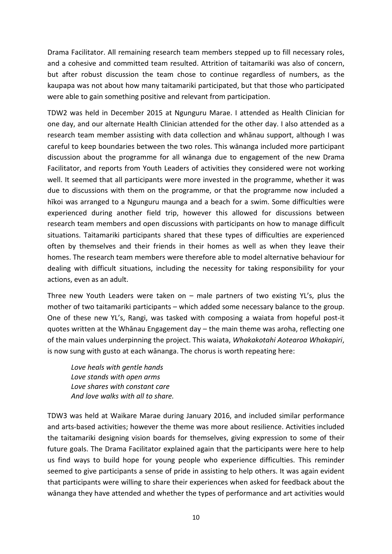Drama Facilitator. All remaining research team members stepped up to fill necessary roles, and a cohesive and committed team resulted. Attrition of taitamariki was also of concern, but after robust discussion the team chose to continue regardless of numbers, as the kaupapa was not about how many taitamariki participated, but that those who participated were able to gain something positive and relevant from participation.

TDW2 was held in December 2015 at Ngunguru Marae. I attended as Health Clinician for one day, and our alternate Health Clinician attended for the other day. I also attended as a research team member assisting with data collection and whānau support, although I was careful to keep boundaries between the two roles. This wānanga included more participant discussion about the programme for all wānanga due to engagement of the new Drama Facilitator, and reports from Youth Leaders of activities they considered were not working well. It seemed that all participants were more invested in the programme, whether it was due to discussions with them on the programme, or that the programme now included a hīkoi was arranged to a Ngunguru maunga and a beach for a swim. Some difficulties were experienced during another field trip, however this allowed for discussions between research team members and open discussions with participants on how to manage difficult situations. Taitamariki participants shared that these types of difficulties are experienced often by themselves and their friends in their homes as well as when they leave their homes. The research team members were therefore able to model alternative behaviour for dealing with difficult situations, including the necessity for taking responsibility for your actions, even as an adult.

Three new Youth Leaders were taken on – male partners of two existing YL's, plus the mother of two taitamariki participants – which added some necessary balance to the group. One of these new YL's, Rangi, was tasked with composing a waiata from hopeful post-it quotes written at the Whānau Engagement day – the main theme was aroha, reflecting one of the main values underpinning the project. This waiata, *Whakakotahi Aotearoa Whakapiri*, is now sung with gusto at each wānanga. The chorus is worth repeating here:

*Love heals with gentle hands Love stands with open arms Love shares with constant care And love walks with all to share.*

TDW3 was held at Waikare Marae during January 2016, and included similar performance and arts-based activities; however the theme was more about resilience. Activities included the taitamariki designing vision boards for themselves, giving expression to some of their future goals. The Drama Facilitator explained again that the participants were here to help us find ways to build hope for young people who experience difficulties. This reminder seemed to give participants a sense of pride in assisting to help others. It was again evident that participants were willing to share their experiences when asked for feedback about the wānanga they have attended and whether the types of performance and art activities would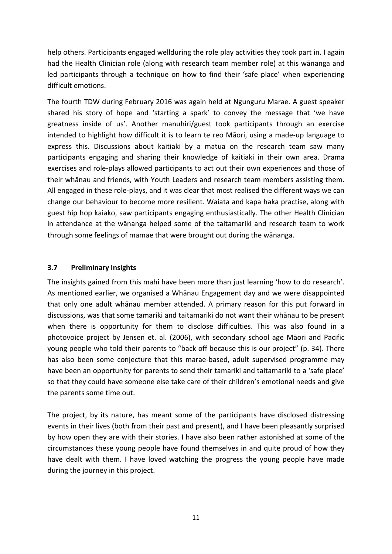help others. Participants engaged wellduring the role play activities they took part in. I again had the Health Clinician role (along with research team member role) at this wānanga and led participants through a technique on how to find their 'safe place' when experiencing difficult emotions.

The fourth TDW during February 2016 was again held at Ngunguru Marae. A guest speaker shared his story of hope and 'starting a spark' to convey the message that 'we have greatness inside of us'. Another manuhiri/guest took participants through an exercise intended to highlight how difficult it is to learn te reo Māori, using a made-up language to express this. Discussions about kaitiaki by a matua on the research team saw many participants engaging and sharing their knowledge of kaitiaki in their own area. Drama exercises and role-plays allowed participants to act out their own experiences and those of their whānau and friends, with Youth Leaders and research team members assisting them. All engaged in these role-plays, and it was clear that most realised the different ways we can change our behaviour to become more resilient. Waiata and kapa haka practise, along with guest hip hop kaiako, saw participants engaging enthusiastically. The other Health Clinician in attendance at the wānanga helped some of the taitamariki and research team to work through some feelings of mamae that were brought out during the wānanga.

## <span id="page-11-0"></span>**3.7 Preliminary Insights**

The insights gained from this mahi have been more than just learning 'how to do research'. As mentioned earlier, we organised a Whānau Engagement day and we were disappointed that only one adult whānau member attended. A primary reason for this put forward in discussions, was that some tamariki and taitamariki do not want their whānau to be present when there is opportunity for them to disclose difficulties. This was also found in a photovoice project by Jensen et. al. (2006), with secondary school age Māori and Pacific young people who told their parents to "back off because this is our project" (p. 34). There has also been some conjecture that this marae-based, adult supervised programme may have been an opportunity for parents to send their tamariki and taitamariki to a 'safe place' so that they could have someone else take care of their children's emotional needs and give the parents some time out.

The project, by its nature, has meant some of the participants have disclosed distressing events in their lives (both from their past and present), and I have been pleasantly surprised by how open they are with their stories. I have also been rather astonished at some of the circumstances these young people have found themselves in and quite proud of how they have dealt with them. I have loved watching the progress the young people have made during the journey in this project.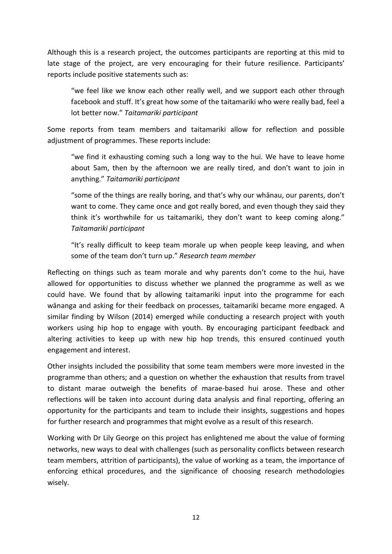Although this is a research project, the outcomes participants are reporting at this mid to late stage of the project, are very encouraging for their future resilience. Participants' reports include positive statements such as:

"we feel like we know each other really well, and we support each other through facebook and stuff. It's great how some of the taitamariki who were really bad, feel a lot better now." *Taitamariki participant*

Some reports from team members and taitamariki allow for reflection and possible adjustment of programmes. These reports include:

"we find it exhausting coming such a long way to the hui. We have to leave home about 5am, then by the afternoon we are really tired, and don't want to join in anything." *Taitamariki participant*

"some of the things are really boring, and that's why our whānau, our parents, don't want to come. They came once and got really bored, and even though they said they think it's worthwhile for us taitamariki, they don't want to keep coming along." *Taitamariki participant*

"It's really difficult to keep team morale up when people keep leaving, and when some of the team don't turn up." *Research team member*

Reflecting on things such as team morale and why parents don't come to the hui, have allowed for opportunities to discuss whether we planned the programme as well as we could have. We found that by allowing taitamariki input into the programme for each wānanga and asking for their feedback on processes, taitamariki became more engaged. A similar finding by Wilson (2014) emerged while conducting a research project with youth workers using hip hop to engage with youth. By encouraging participant feedback and altering activities to keep up with new hip hop trends, this ensured continued youth engagement and interest.

Other insights included the possibility that some team members were more invested in the programme than others; and a question on whether the exhaustion that results from travel to distant marae outweigh the benefits of marae-based hui arose. These and other reflections will be taken into account during data analysis and final reporting, offering an opportunity for the participants and team to include their insights, suggestions and hopes for further research and programmes that might evolve as a result of this research.

Working with Dr Lily George on this project has enlightened me about the value of forming networks, new ways to deal with challenges (such as personality conflicts between research team members, attrition of participants), the value of working as a team, the importance of enforcing ethical procedures, and the significance of choosing research methodologies wisely.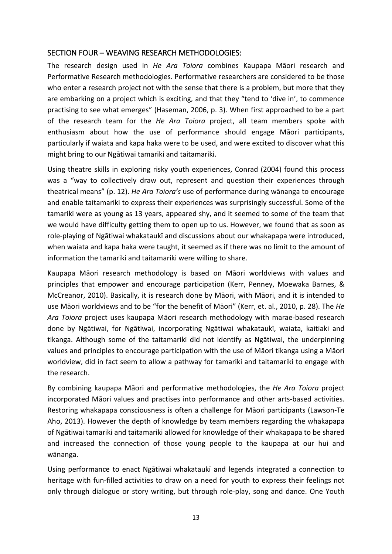## <span id="page-13-0"></span>SECTION FOUR – WEAVING RESEARCH METHODOLOGIES:

The research design used in *He Ara Toiora* combines Kaupapa Māori research and Performative Research methodologies. Performative researchers are considered to be those who enter a research project not with the sense that there is a problem, but more that they are embarking on a project which is exciting, and that they "tend to 'dive in', to commence practising to see what emerges" (Haseman, 2006, p. 3). When first approached to be a part of the research team for the *He Ara Toiora* project, all team members spoke with enthusiasm about how the use of performance should engage Māori participants, particularly if waiata and kapa haka were to be used, and were excited to discover what this might bring to our Ngātiwai tamariki and taitamariki.

Using theatre skills in exploring risky youth experiences, Conrad (2004) found this process was a "way to collectively draw out, represent and question their experiences through theatrical means" (p. 12). *He Ara Toiora's* use of performance during wānanga to encourage and enable taitamariki to express their experiences was surprisingly successful. Some of the tamariki were as young as 13 years, appeared shy, and it seemed to some of the team that we would have difficulty getting them to open up to us. However, we found that as soon as role-playing of Ngātiwai whakataukī and discussions about our whakapapa were introduced, when waiata and kapa haka were taught, it seemed as if there was no limit to the amount of information the tamariki and taitamariki were willing to share.

Kaupapa Māori research methodology is based on Māori worldviews with values and principles that empower and encourage participation (Kerr, Penney, Moewaka Barnes, & McCreanor, 2010). Basically, it is research done by Māori, with Māori, and it is intended to use Māori worldviews and to be "for the benefit of Māori" (Kerr, et. al., 2010, p. 28). The *He Ara Toiora* project uses kaupapa Māori research methodology with marae-based research done by Ngātiwai, for Ngātiwai, incorporating Ngātiwai whakataukī, waiata, kaitiaki and tikanga. Although some of the taitamariki did not identify as Ngātiwai, the underpinning values and principles to encourage participation with the use of Māori tikanga using a Māori worldview, did in fact seem to allow a pathway for tamariki and taitamariki to engage with the research.

By combining kaupapa Māori and performative methodologies, the *He Ara Toiora* project incorporated Māori values and practises into performance and other arts-based activities. Restoring whakapapa consciousness is often a challenge for Māori participants (Lawson-Te Aho, 2013). However the depth of knowledge by team members regarding the whakapapa of Ngātiwai tamariki and taitamariki allowed for knowledge of their whakapapa to be shared and increased the connection of those young people to the kaupapa at our hui and wānanga.

Using performance to enact Ngātiwai whakataukī and legends integrated a connection to heritage with fun-filled activities to draw on a need for youth to express their feelings not only through dialogue or story writing, but through role-play, song and dance. One Youth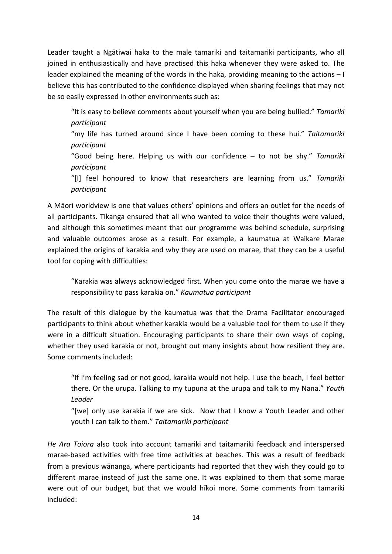Leader taught a Ngātiwai haka to the male tamariki and taitamariki participants, who all joined in enthusiastically and have practised this haka whenever they were asked to. The leader explained the meaning of the words in the haka, providing meaning to the actions – I believe this has contributed to the confidence displayed when sharing feelings that may not be so easily expressed in other environments such as:

"It is easy to believe comments about yourself when you are being bullied." *Tamariki participant*

"my life has turned around since I have been coming to these hui." *Taitamariki participant*

"Good being here. Helping us with our confidence – to not be shy." *Tamariki participant*

"[I] feel honoured to know that researchers are learning from us." *Tamariki participant*

A Māori worldview is one that values others' opinions and offers an outlet for the needs of all participants. Tikanga ensured that all who wanted to voice their thoughts were valued, and although this sometimes meant that our programme was behind schedule, surprising and valuable outcomes arose as a result. For example, a kaumatua at Waikare Marae explained the origins of karakia and why they are used on marae, that they can be a useful tool for coping with difficulties:

"Karakia was always acknowledged first. When you come onto the marae we have a responsibility to pass karakia on." *Kaumatua participant*

The result of this dialogue by the kaumatua was that the Drama Facilitator encouraged participants to think about whether karakia would be a valuable tool for them to use if they were in a difficult situation. Encouraging participants to share their own ways of coping, whether they used karakia or not, brought out many insights about how resilient they are. Some comments included:

"If I'm feeling sad or not good, karakia would not help. I use the beach, I feel better there. Or the urupa. Talking to my tupuna at the urupa and talk to my Nana." *Youth Leader*

"[we] only use karakia if we are sick. Now that I know a Youth Leader and other youth I can talk to them." *Taitamariki participant*

*He Ara Toiora* also took into account tamariki and taitamariki feedback and interspersed marae-based activities with free time activities at beaches. This was a result of feedback from a previous wānanga, where participants had reported that they wish they could go to different marae instead of just the same one. It was explained to them that some marae were out of our budget, but that we would hīkoi more. Some comments from tamariki included: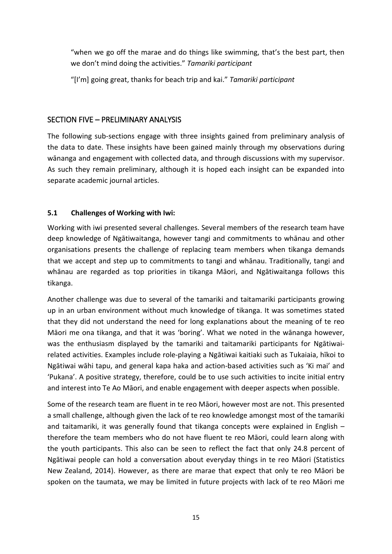"when we go off the marae and do things like swimming, that's the best part, then we don't mind doing the activities." *Tamariki participant*

"[I'm] going great, thanks for beach trip and kai." *Tamariki participant*

## <span id="page-15-0"></span>SECTION FIVE – PRELIMINARY ANALYSIS

The following sub-sections engage with three insights gained from preliminary analysis of the data to date. These insights have been gained mainly through my observations during wānanga and engagement with collected data, and through discussions with my supervisor. As such they remain preliminary, although it is hoped each insight can be expanded into separate academic journal articles.

## <span id="page-15-1"></span>**5.1 Challenges of Working with Iwi:**

Working with iwi presented several challenges. Several members of the research team have deep knowledge of Ngātiwaitanga, however tangi and commitments to whānau and other organisations presents the challenge of replacing team members when tikanga demands that we accept and step up to commitments to tangi and whānau. Traditionally, tangi and whānau are regarded as top priorities in tikanga Māori, and Ngātiwaitanga follows this tikanga.

Another challenge was due to several of the tamariki and taitamariki participants growing up in an urban environment without much knowledge of tikanga. It was sometimes stated that they did not understand the need for long explanations about the meaning of te reo Māori me ona tikanga, and that it was 'boring'. What we noted in the wānanga however, was the enthusiasm displayed by the tamariki and taitamariki participants for Ngātiwairelated activities. Examples include role-playing a Ngātiwai kaitiaki such as Tukaiaia, hīkoi to Ngātiwai wāhi tapu, and general kapa haka and action-based activities such as 'Ki mai' and 'Pukana'. A positive strategy, therefore, could be to use such activities to incite initial entry and interest into Te Ao Māori, and enable engagement with deeper aspects when possible.

Some of the research team are fluent in te reo Māori, however most are not. This presented a small challenge, although given the lack of te reo knowledge amongst most of the tamariki and taitamariki, it was generally found that tikanga concepts were explained in English – therefore the team members who do not have fluent te reo Māori, could learn along with the youth participants. This also can be seen to reflect the fact that only 24.8 percent of Ngātiwai people can hold a conversation about everyday things in te reo Māori (Statistics New Zealand, 2014). However, as there are marae that expect that only te reo Māori be spoken on the taumata, we may be limited in future projects with lack of te reo Māori me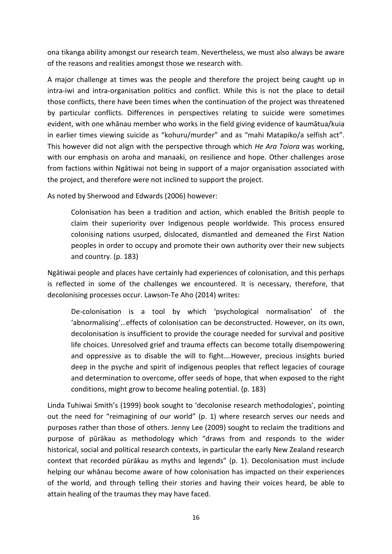ona tikanga ability amongst our research team. Nevertheless, we must also always be aware of the reasons and realities amongst those we research with.

A major challenge at times was the people and therefore the project being caught up in intra-iwi and intra-organisation politics and conflict. While this is not the place to detail those conflicts, there have been times when the continuation of the project was threatened by particular conflicts. Differences in perspectives relating to suicide were sometimes evident, with one whānau member who works in the field giving evidence of kaumātua/kuia in earlier times viewing suicide as "kohuru/murder" and as "mahi Matapiko/a selfish act". This however did not align with the perspective through which *He Ara Toiora* was working, with our emphasis on aroha and manaaki, on resilience and hope. Other challenges arose from factions within Ngātiwai not being in support of a major organisation associated with the project, and therefore were not inclined to support the project.

As noted by Sherwood and Edwards (2006) however:

Colonisation has been a tradition and action, which enabled the British people to claim their superiority over Indigenous people worldwide. This process ensured colonising nations usurped, dislocated, dismantled and demeaned the First Nation peoples in order to occupy and promote their own authority over their new subjects and country. (p. 183)

Ngātiwai people and places have certainly had experiences of colonisation, and this perhaps is reflected in some of the challenges we encountered. It is necessary, therefore, that decolonising processes occur. Lawson-Te Aho (2014) writes:

De-colonisation is a tool by which 'psychological normalisation' of the 'abnormalising'…effects of colonisation can be deconstructed. However, on its own, decolonisation is insufficient to provide the courage needed for survival and positive life choices. Unresolved grief and trauma effects can become totally disempowering and oppressive as to disable the will to fight….However, precious insights buried deep in the psyche and spirit of indigenous peoples that reflect legacies of courage and determination to overcome, offer seeds of hope, that when exposed to the right conditions, might grow to become healing potential. (p. 183)

Linda Tuhiwai Smith's (1999) book sought to 'decolonise research methodologies', pointing out the need for "reimagining of our world" (p. 1) where research serves our needs and purposes rather than those of others. Jenny Lee (2009) sought to reclaim the traditions and purpose of pūrākau as methodology which "draws from and responds to the wider historical, social and political research contexts, in particular the early New Zealand research context that recorded pūrākau as myths and legends" (p. 1). Decolonisation must include helping our whānau become aware of how colonisation has impacted on their experiences of the world, and through telling their stories and having their voices heard, be able to attain healing of the traumas they may have faced.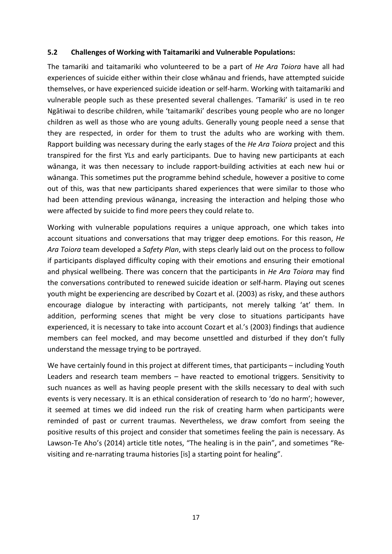#### <span id="page-17-0"></span>**5.2 Challenges of Working with Taitamariki and Vulnerable Populations:**

The tamariki and taitamariki who volunteered to be a part of *He Ara Toiora* have all had experiences of suicide either within their close whānau and friends, have attempted suicide themselves, or have experienced suicide ideation or self-harm. Working with taitamariki and vulnerable people such as these presented several challenges. 'Tamariki' is used in te reo Ngātiwai to describe children, while 'taitamariki' describes young people who are no longer children as well as those who are young adults. Generally young people need a sense that they are respected, in order for them to trust the adults who are working with them. Rapport building was necessary during the early stages of the *He Ara Toiora* project and this transpired for the first YLs and early participants. Due to having new participants at each wānanga, it was then necessary to include rapport-building activities at each new hui or wānanga. This sometimes put the programme behind schedule, however a positive to come out of this, was that new participants shared experiences that were similar to those who had been attending previous wānanga, increasing the interaction and helping those who were affected by suicide to find more peers they could relate to.

Working with vulnerable populations requires a unique approach, one which takes into account situations and conversations that may trigger deep emotions. For this reason, *He Ara Toiora* team developed a *Safety Plan*, with steps clearly laid out on the process to follow if participants displayed difficulty coping with their emotions and ensuring their emotional and physical wellbeing. There was concern that the participants in *He Ara Toiora* may find the conversations contributed to renewed suicide ideation or self-harm. Playing out scenes youth might be experiencing are described by Cozart et al. (2003) as risky, and these authors encourage dialogue by interacting with participants, not merely talking 'at' them. In addition, performing scenes that might be very close to situations participants have experienced, it is necessary to take into account Cozart et al.'s (2003) findings that audience members can feel mocked, and may become unsettled and disturbed if they don't fully understand the message trying to be portrayed.

We have certainly found in this project at different times, that participants – including Youth Leaders and research team members – have reacted to emotional triggers. Sensitivity to such nuances as well as having people present with the skills necessary to deal with such events is very necessary. It is an ethical consideration of research to 'do no harm'; however, it seemed at times we did indeed run the risk of creating harm when participants were reminded of past or current traumas. Nevertheless, we draw comfort from seeing the positive results of this project and consider that sometimes feeling the pain is necessary. As Lawson-Te Aho's (2014) article title notes, "The healing is in the pain", and sometimes "Revisiting and re-narrating trauma histories [is] a starting point for healing".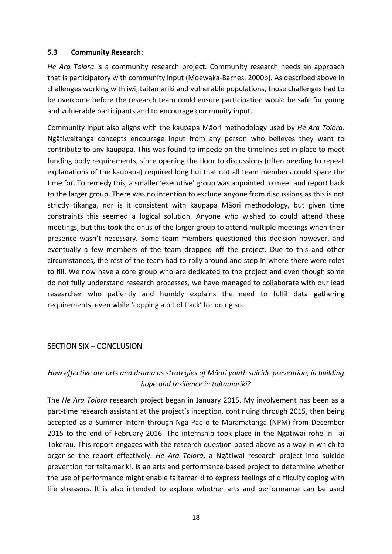#### <span id="page-18-0"></span>**5.3 Community Research:**

*He Ara Toiora* is a community research project. Community research needs an approach that is participatory with community input (Moewaka-Barnes, 2000b). As described above in challenges working with iwi, taitamariki and vulnerable populations, those challenges had to be overcome before the research team could ensure participation would be safe for young and vulnerable participants and to encourage community input.

Community input also aligns with the kaupapa Māori methodology used by *He Ara Toiora.*  Ngātiwaitanga concepts encourage input from any person who believes they want to contribute to any kaupapa. This was found to impede on the timelines set in place to meet funding body requirements, since opening the floor to discussions (often needing to repeat explanations of the kaupapa) required long hui that not all team members could spare the time for. To remedy this, a smaller 'executive' group was appointed to meet and report back to the larger group. There was no intention to exclude anyone from discussions as this is not strictly tikanga, nor is it consistent with kaupapa Māori methodology, but given time constraints this seemed a logical solution. Anyone who wished to could attend these meetings, but this took the onus of the larger group to attend multiple meetings when their presence wasn't necessary. Some team members questioned this decision however, and eventually a few members of the team dropped off the project. Due to this and other circumstances, the rest of the team had to rally around and step in where there were roles to fill. We now have a core group who are dedicated to the project and even though some do not fully understand research processes, we have managed to collaborate with our lead researcher who patiently and humbly explains the need to fulfil data gathering requirements, even while 'copping a bit of flack' for doing so.

## <span id="page-18-1"></span>SECTION SIX – CONCLUSION

## *How effective are arts and drama as strategies of Māori youth suicide prevention, in building hope and resilience in taitamariki?*

The *He Ara Toiora* research project began in January 2015. My involvement has been as a part-time research assistant at the project's inception, continuing through 2015, then being accepted as a Summer Intern through Ngā Pae o te Māramatanga (NPM) from December 2015 to the end of February 2016. The internship took place in the Ngātiwai rohe in Tai Tokerau. This report engages with the research question posed above as a way in which to organise the report effectively. *He Ara Toiora*, a Ngātiwai research project into suicide prevention for taitamariki, is an arts and performance-based project to determine whether the use of performance might enable taitamariki to express feelings of difficulty coping with life stressors. It is also intended to explore whether arts and performance can be used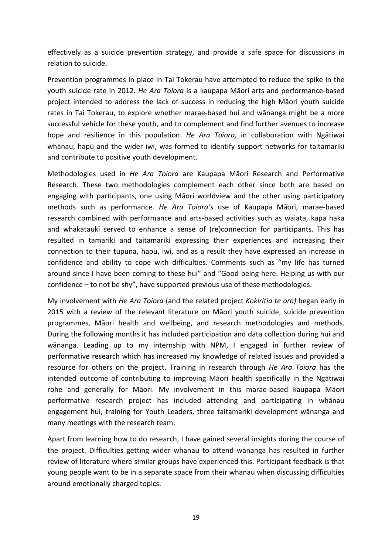effectively as a suicide prevention strategy, and provide a safe space for discussions in relation to suicide.

Prevention programmes in place in Tai Tokerau have attempted to reduce the spike in the youth suicide rate in 2012. *He Ara Toiora* is a kaupapa Māori arts and performance-based project intended to address the lack of success in reducing the high Māori youth suicide rates in Tai Tokerau, to explore whether marae-based hui and wānanga might be a more successful vehicle for these youth, and to complement and find further avenues to increase hope and resilience in this population. *He Ara Toiora,* in collaboration with Ngātiwai whānau, hapū and the wider iwi, was formed to identify support networks for taitamariki and contribute to positive youth development.

Methodologies used in *He Ara Toiora* are Kaupapa Māori Research and Performative Research. These two methodologies complement each other since both are based on engaging with participants, one using Māori worldview and the other using participatory methods such as performance. *He Ara Toiora's* use of Kaupapa Māori, marae-based research combined with performance and arts-based activities such as waiata, kapa haka and whakataukī served to enhance a sense of (re)connection for participants. This has resulted in tamariki and taitamariki expressing their experiences and increasing their connection to their tupuna, hapū, iwi, and as a result they have expressed an increase in confidence and ability to cope with difficulties. Comments such as "my life has turned around since I have been coming to these hui" and "Good being here. Helping us with our confidence – to not be shy", have supported previous use of these methodologies.

My involvement with *He Ara Toiora* (and the related project *Kokiritia te ora)* began early in 2015 with a review of the relevant literature on Māori youth suicide, suicide prevention programmes, Māori health and wellbeing, and research methodologies and methods. During the following months it has included participation and data collection during hui and wānanga. Leading up to my internship with NPM, I engaged in further review of performative research which has increased my knowledge of related issues and provided a resource for others on the project. Training in research through *He Ara Toiora* has the intended outcome of contributing to improving Māori health specifically in the Ngātiwai rohe and generally for Māori. My involvement in this marae-based kaupapa Māori performative research project has included attending and participating in whānau engagement hui, training for Youth Leaders, three taitamariki development wānanga and many meetings with the research team.

Apart from learning how to do research, I have gained several insights during the course of the project. Difficulties getting wider whanau to attend wānanga has resulted in further review of literature where similar groups have experienced this. Participant feedback is that young people want to be in a separate space from their whanau when discussing difficulties around emotionally charged topics.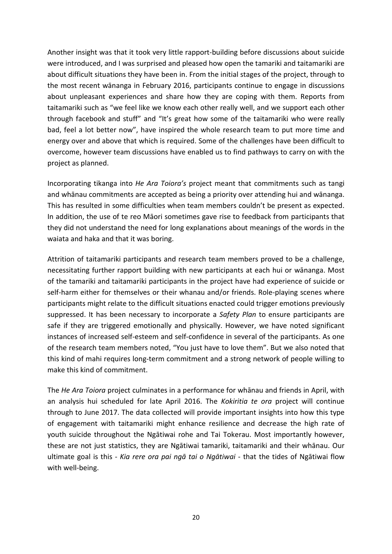Another insight was that it took very little rapport-building before discussions about suicide were introduced, and I was surprised and pleased how open the tamariki and taitamariki are about difficult situations they have been in. From the initial stages of the project, through to the most recent wānanga in February 2016, participants continue to engage in discussions about unpleasant experiences and share how they are coping with them. Reports from taitamariki such as "we feel like we know each other really well, and we support each other through facebook and stuff" and "It's great how some of the taitamariki who were really bad, feel a lot better now", have inspired the whole research team to put more time and energy over and above that which is required. Some of the challenges have been difficult to overcome, however team discussions have enabled us to find pathways to carry on with the project as planned.

Incorporating tikanga into *He Ara Toiora's* project meant that commitments such as tangi and whānau commitments are accepted as being a priority over attending hui and wānanga. This has resulted in some difficulties when team members couldn't be present as expected. In addition, the use of te reo Māori sometimes gave rise to feedback from participants that they did not understand the need for long explanations about meanings of the words in the waiata and haka and that it was boring.

Attrition of taitamariki participants and research team members proved to be a challenge, necessitating further rapport building with new participants at each hui or wānanga. Most of the tamariki and taitamariki participants in the project have had experience of suicide or self-harm either for themselves or their whanau and/or friends. Role-playing scenes where participants might relate to the difficult situations enacted could trigger emotions previously suppressed. It has been necessary to incorporate a *Safety Plan* to ensure participants are safe if they are triggered emotionally and physically. However, we have noted significant instances of increased self-esteem and self-confidence in several of the participants. As one of the research team members noted, "You just have to love them". But we also noted that this kind of mahi requires long-term commitment and a strong network of people willing to make this kind of commitment.

The *He Ara Toiora* project culminates in a performance for whānau and friends in April, with an analysis hui scheduled for late April 2016. The *Kokiritia te ora* project will continue through to June 2017. The data collected will provide important insights into how this type of engagement with taitamariki might enhance resilience and decrease the high rate of youth suicide throughout the Ngātiwai rohe and Tai Tokerau. Most importantly however, these are not just statistics, they are Ngātiwai tamariki, taitamariki and their whānau. Our ultimate goal is this - *Kia rere ora pai ngā tai o Ngātiwai* - that the tides of Ngātiwai flow with well-being.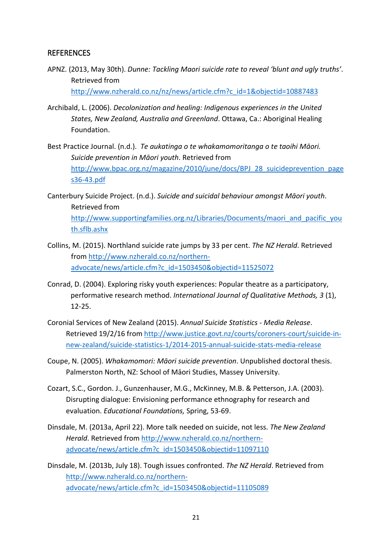#### <span id="page-21-0"></span>REFERENCES

APNZ. (2013, May 30th). *Dunne: Tackling Maori suicide rate to reveal 'blunt and ugly truths'*. Retrieved from

[http://www.nzherald.co.nz/nz/news/article.cfm?c\\_id=1&objectid=10887483](http://www.nzherald.co.nz/nz/news/article.cfm?c_id=1&objectid=10887483)

- Archibald, L. (2006). *Decolonization and healing: Indigenous experiences in the United States, New Zealand, Australia and Greenland*. Ottawa, Ca.: Aboriginal Healing Foundation.
- Best Practice Journal. (n.d.). *Te aukatinga o te whakamomoritanga o te taoihi Māori. Suicide prevention in Māori youth*. Retrieved from [http://www.bpac.org.nz/magazine/2010/june/docs/BPJ\\_28\\_suicideprevention\\_page](http://www.bpac.org.nz/magazine/2010/june/docs/BPJ_28_suicideprevention_pages36-43.pdf) s36-[43.pdf](http://www.bpac.org.nz/magazine/2010/june/docs/BPJ_28_suicideprevention_pages36-43.pdf)
- Canterbury Suicide Project. (n.d.). *Suicide and suicidal behaviour amongst Māori youth*. Retrieved from [http://www.supportingfamilies.org.nz/Libraries/Documents/maori\\_and\\_pacific\\_you](http://www.supportingfamilies.org.nz/Libraries/Documents/maori_and_pacific_youth.sflb.ashx) [th.sflb.ashx](http://www.supportingfamilies.org.nz/Libraries/Documents/maori_and_pacific_youth.sflb.ashx)
- Collins, M. (2015). Northland suicide rate jumps by 33 per cent. *The NZ Herald*. Retrieved from [http://www.nzherald.co.nz/northern](http://www.nzherald.co.nz/northern-advocate/news/article.cfm?c_id=1503450&objectid=11525072)[advocate/news/article.cfm?c\\_id=1503450&objectid=11525072](http://www.nzherald.co.nz/northern-advocate/news/article.cfm?c_id=1503450&objectid=11525072)
- Conrad, D. (2004). Exploring risky youth experiences: Popular theatre as a participatory, performative research method. *International Journal of Qualitative Methods, 3* (1), 12-25.
- Coronial Services of New Zealand (2015). *Annual Suicide Statistics - Media Release*. Retrieved 19/2/16 from [http://www.justice.govt.nz/courts/coroners](http://www.justice.govt.nz/courts/coroners-court/suicide-in-new-zealand/suicide-statistics-1/2014-2015-annual-suicide-stats-media-release)-court/suicide-innew-[zealand/suicide](http://www.justice.govt.nz/courts/coroners-court/suicide-in-new-zealand/suicide-statistics-1/2014-2015-annual-suicide-stats-media-release)-statistics-1/2014-2015-annual-suicide-stats-media-release
- Coupe, N. (2005). *Whakamomori: Māori suicide prevention*. Unpublished doctoral thesis. Palmerston North, NZ: School of Māori Studies, Massey University.
- Cozart, S.C., Gordon. J., Gunzenhauser, M.G., McKinney, M.B. & Petterson, J.A. (2003). Disrupting dialogue: Envisioning performance ethnography for research and evaluation. *Educational Foundations,* Spring, 53-69.
- Dinsdale, M. (2013a, April 22). More talk needed on suicide, not less. *The New Zealand Herald*. Retrieved from [http://www.nzherald.co.nz/northern](http://www.nzherald.co.nz/northern-advocate/news/article.cfm?c_id=1503450&objectid=11097110)[advocate/news/article.cfm?c\\_id=1503450&objectid=11097110](http://www.nzherald.co.nz/northern-advocate/news/article.cfm?c_id=1503450&objectid=11097110)
- Dinsdale, M. (2013b, July 18). Tough issues confronted. *The NZ Herald*. Retrieved from [http://www.nzherald.co.nz/northern](http://www.nzherald.co.nz/northern-advocate/news/article.cfm?c_id=1503450&objectid=11105089)[advocate/news/article.cfm?c\\_id=1503450&objectid=11105089](http://www.nzherald.co.nz/northern-advocate/news/article.cfm?c_id=1503450&objectid=11105089)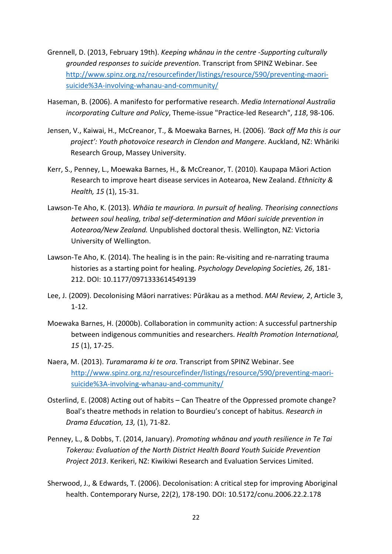- Grennell, D. (2013, February 19th). *Keeping whānau in the centre -Supporting culturally grounded responses to suicide prevention*. Transcript from SPINZ Webinar. See [http://www.spinz.org.nz/resourcefinder/listings/resource/590/preventing](http://www.spinz.org.nz/resourcefinder/listings/resource/590/preventing-maori-suicide%3A-involving-whanau-and-community/)-maorisuicide%3A-involving-whanau-and-[community/](http://www.spinz.org.nz/resourcefinder/listings/resource/590/preventing-maori-suicide%3A-involving-whanau-and-community/)
- Haseman, B. (2006). A manifesto for performative research. *Media International Australia incorporating Culture and Policy*, Theme-issue "Practice-led Research", *118*, 98-106.
- Jensen, V., Kaiwai, H., McCreanor, T., & Moewaka Barnes, H. (2006). *'Back off Ma this is our project': Youth photovoice research in Clendon and Mangere*. Auckland, NZ: Whāriki Research Group, Massey University.
- Kerr, S., Penney, L., Moewaka Barnes, H., & McCreanor, T. (2010). Kaupapa Māori Action Research to improve heart disease services in Aotearoa, New Zealand. *Ethnicity & Health, 15* (1), 15-31.
- Lawson-Te Aho, K. (2013). *Whāia te mauriora. In pursuit of healing. Theorising connections between soul healing, tribal self-determination and Māori suicide prevention in Aotearoa/New Zealand.* Unpublished doctoral thesis. Wellington, NZ: Victoria University of Wellington.
- Lawson-Te Aho, K. (2014). The healing is in the pain: Re-visiting and re-narrating trauma histories as a starting point for healing. *Psychology Developing Societies, 26*, 181- 212. DOI: 10.1177/0971333614549139
- Lee, J. (2009). Decolonising Māori narratives: Pūrākau as a method. *MAI Review, 2*, Article 3, 1-12.
- Moewaka Barnes, H. (2000b). Collaboration in community action: A successful partnership between indigenous communities and researchers. *Health Promotion International, 15* (1), 17-25.
- Naera, M. (2013). *Turamarama ki te ora*. Transcript from SPINZ Webinar. See [http://www.spinz.org.nz/resourcefinder/listings/resource/590/preventing](http://www.spinz.org.nz/resourcefinder/listings/resource/590/preventing-maori-suicide%3A-involving-whanau-and-community/)-maorisuicide%3A-involving-whanau-and-[community/](http://www.spinz.org.nz/resourcefinder/listings/resource/590/preventing-maori-suicide%3A-involving-whanau-and-community/)
- Osterlind, E. (2008) Acting out of habits Can Theatre of the Oppressed promote change? Boal's theatre methods in relation to Bourdieu's concept of habitus. *Research in Drama Education, 13,* (1), 71-82.
- Penney, L., & Dobbs, T. (2014, January). *Promoting whānau and youth resilience in Te Tai Tokerau: Evaluation of the North District Health Board Youth Suicide Prevention Project 2013*. Kerikeri, NZ: Kiwikiwi Research and Evaluation Services Limited.
- Sherwood, J., & Edwards, T. (2006). Decolonisation: A critical step for improving Aboriginal health. Contemporary Nurse, 22(2), 178-190. DOI: 10.5172/conu.2006.22.2.178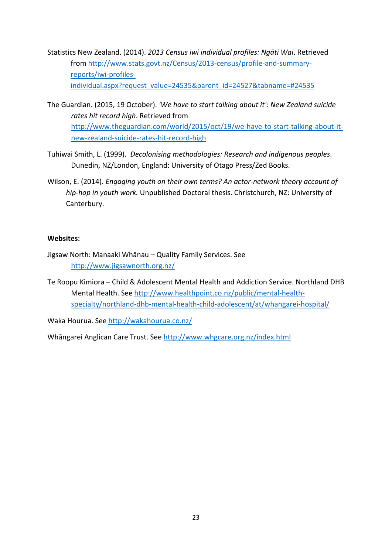- Statistics New Zealand. (2014). *2013 Census iwi individual profiles: Ngāti Wai*. Retrieved from [http://www.stats.govt.nz/Census/2013](http://www.stats.govt.nz/Census/2013-census/profile-and-summary-reports/iwi-profiles-individual.aspx?request_value=24535&parent_id=24527&tabname=#24535)-census/profile-and-summary[reports/iwi](http://www.stats.govt.nz/Census/2013-census/profile-and-summary-reports/iwi-profiles-individual.aspx?request_value=24535&parent_id=24527&tabname=#24535)-profiles[individual.aspx?request\\_value=24535&parent\\_id=24527&tabname=#24535](http://www.stats.govt.nz/Census/2013-census/profile-and-summary-reports/iwi-profiles-individual.aspx?request_value=24535&parent_id=24527&tabname=#24535)
- The Guardian. (2015, 19 October). *'We have to start talking about it': New Zealand suicide rates hit record high*. Retrieved from [http://www.theguardian.com/world/2015/oct/19/we](http://www.theguardian.com/world/2015/oct/19/we-have-to-start-talking-about-it-new-zealand-suicide-rates-hit-record-high)-have-to-start-talking-about-itnew-[zealand](http://www.theguardian.com/world/2015/oct/19/we-have-to-start-talking-about-it-new-zealand-suicide-rates-hit-record-high)-suicide-rates-hit-record-high
- Tuhiwai Smith, L. (1999). *Decolonising methodologies: Research and indigenous peoples*. Dunedin, NZ/London, England: University of Otago Press/Zed Books.
- Wilson, E. (2014). *Engaging youth on their own terms? An actor-network theory account of hip-hop in youth work.* Unpublished Doctoral thesis. Christchurch, NZ: University of Canterbury.

#### **Websites:**

- Jigsaw North: Manaaki Whānau Quality Family Services. See <http://www.jigsawnorth.org.nz/>
- Te Roopu Kimiora Child & Adolescent Mental Health and Addiction Service. Northland DHB Mental Health. See [http://www.healthpoint.co.nz/public/mental](http://www.healthpoint.co.nz/public/mental-health-specialty/northland-dhb-mental-health-child-adolescent/at/whangarei-hospital/)-healthspecialty/northland-dhb-mental-health-child-[adolescent/at/whangarei](http://www.healthpoint.co.nz/public/mental-health-specialty/northland-dhb-mental-health-child-adolescent/at/whangarei-hospital/)-hospital/

Waka Hourua. See<http://wakahourua.co.nz/>

Whāngarei Anglican Care Trust. See <http://www.whgcare.org.nz/index.html>